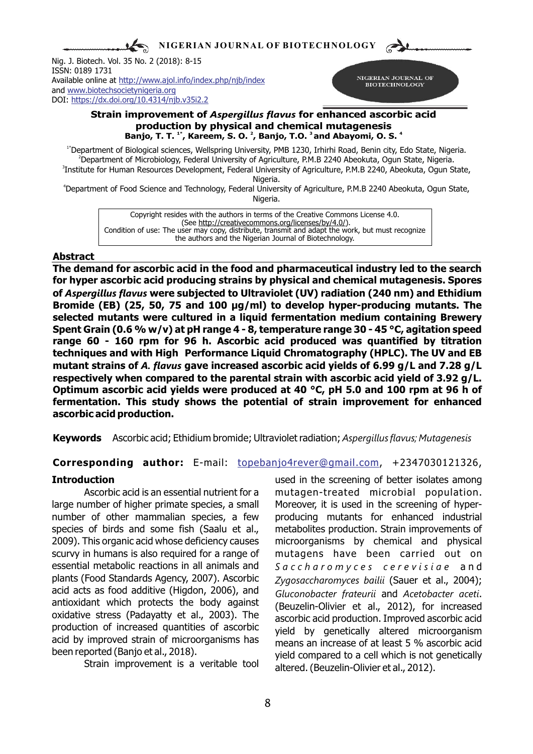**NIGERIAN JOURNAL OF BIOTECHNOLOGY**

Nig. J. Biotech. Vol. 35 No. 2 (2018): 8-15 ISSN: 0189 1731 Available online at <http://www.ajol.info/index.php/njb/index> and [www.biotechsocietynigeria.org](http://www.biotechsocietynigeria.org) DOI: https://dx.doi.org/10.4314/njb.v35i2.2



## **Strain improvement of** *Aspergillus flavus* **for enhanced ascorbic acid production by physical and chemical mutagenesis** Banjo, T. T. <sup>1\*</sup>, Kareem, S. O. <sup>2</sup>, Banjo, T.O. <sup>3</sup> and Abayomi, O. S. <sup>4</sup>

1\*Department of Biological sciences, Wellspring University, PMB 1230, Irhirhi Road, Benin city, Edo State, Nigeria. <sup>2</sup>Department of Microbiology, Federal University of Agriculture, P.M.B 2240 Abeokuta, Ogun State, Nigeria. 3 Institute for Human Resources Development, Federal University of Agriculture, P.M.B 2240, Abeokuta, Ogun State,

Nigeria.

<sup>4</sup>Department of Food Science and Technology, Federal University of Agriculture, P.M.B 2240 Abeokuta, Ogun State, Nigeria.

Copyright resides with the authors in terms of the Creative Commons License 4.0. (See http://creativecommons.org/licenses/by/4.0/). Condition of use: The user may copy, distribute, transmit and adapt the work, but must recognize the authors and the Nigerian Journal of Biotechnology.

## **Abstract**

**The demand for ascorbic acid in the food and pharmaceutical industry led to the search for hyper ascorbic acid producing strains by physical and chemical mutagenesis. Spores of** *Aspergillus flavus* **were subjected to Ultraviolet (UV) radiation (240 nm) and Ethidium Bromide (EB) (25, 50, 75 and 100 µg/ml) to develop hyper-producing mutants. The selected mutants were cultured in a liquid fermentation medium containing Brewery Spent Grain (0.6 % w/v) at pH range 4 - 8, temperature range 30 - 45 °C, agitation speed range 60 - 160 rpm for 96 h. Ascorbic acid produced was quantified by titration techniques and with High Performance Liquid Chromatography (HPLC). The UV and EB mutant strains of** *A. flavus* **gave increased ascorbic acid yields of 6.99 g/L and 7.28 g/L respectively when compared to the parental strain with ascorbic acid yield of 3.92 g/L. Optimum ascorbic acid yields were produced at 40 °C, pH 5.0 and 100 rpm at 96 h of fermentation. This study shows the potential of strain improvement for enhanced ascorbic acid production.**

**Keywords** Ascorbic acid; Ethidium bromide; Ultraviolet radiation; *Aspergillus flavus; Mutagenesis*

## **Corresponding author:** E-mail: topebanjo4rever@gmail.com, +2347030121326,

large number of higher primate species, a small Moreover, it is used in the screening of hypernumber of other mammalian species, a few producing mutants for enhanced industrial species of birds and some fish (Saalu et al., metabolites production. Strain improvements of 2009). This organic acid whose deficiency causes microorganisms by chemical and physical scurvy in humans is also required for a range of mutagens have been carried out on essential metabolic reactions in all animals and *S a c c h a r o m y c e s c e r e v i s i a e* a n d plants (Food Standards Agency, 2007). Ascorbic *Zygosaccharomyces bailii* (Sauer et al., 2004); acid acts as food additive (Higdon, 2006), and *Gluconobacter frateurii* and *Acetobacter aceti*. antioxidant which protects the body against (Beuzelin-Olivier et al., 2012), for increased oxidative stress (Padayatty et al., 2003). The ascorbic acid production. Improved ascorbic acid production of increased quantities of ascorbic yield by genetically altered microorganism<br>acid by improved strain of microorganisms has means an increase of at least 5.% ascorbic acid acid by improved strain of microorganisms has means an increase of at least 5 % ascorbic acid<br>been reported (Banjo et al., 2018).

**Introduction** used in the screening of better isolates among Ascorbic acid is an essential nutrient for a mutagen-treated microbial population. ported (Banjo et al., 2018).<br>Strain improvement is a veritable tool altered (Bouzelin Olivier at al. 2012) altered. (Beuzelin-Olivier et al., 2012).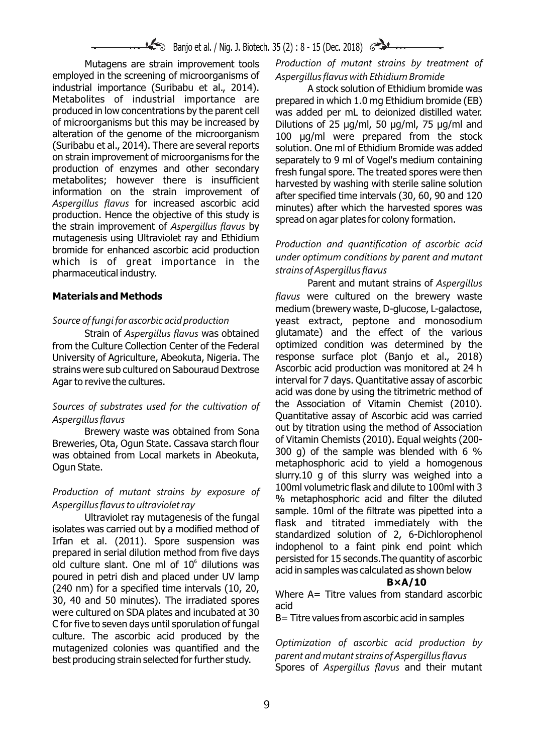employed in the screening of microorganisms of *Aspergillus flavus with Ethidium Bromide*  industrial importance (Suribabu et al., 2014). <br>Metabolites of industrial importance are prepared in which 1.0 mg Fthidium bromide (FB) Metabolites of industrial importance are prepared in which 1.0 mg Ethidium bromide (EB)<br>produced in low concentrations by the parent cell was added per mL to dejonized distilled water. produced in low concentrations by the parent cell was added per mL to deionized distilled water.<br>of microorganisms but this may be increased by Dilutions of 25 Jug/ml, 50 Jug/ml, 75 Jug/ml and of microorganisms but this may be increased by Dilutions of 25  $\mu$ g/ml, 50  $\mu$ g/ml, 75  $\mu$ g/ml and alteration of the genome of the microorganism  $100 \mu$ alteration of the genome of the microorganism 100 µg/ml were prepared from the stock<br>(Suribabu et al., 2014). There are several reports solution One ml of Ethidium Bromide was added (Suribabu et al., 2014). There are several reports solution. One ml of Ethidium Bromide was added<br>Son strain improvement of microorganisms for the senarately to 9 ml of Vogel's medium containing on strain improvement of microorganisms for the separately to 9 ml of Vogel's medium containing<br>production of enzymes and other secondary fresh fungal spore. The treated spores were then production of enzymes and other secondary fresh fungal spore. The treated spores were then<br>metabolites; however there is insufficient harvested by washing with sterile saline solution metabolites; nowever there is insufficient harvested by washing with sterile saline solution<br>information on the strain improvement of after specified time intended 20, 60, 20, 30, 30, 30, 30, 30, 30, 30, information on the strain improvement or after specified time intervals (30, 60, 90 and 120<br>Aspergillus flavus for increased ascorbic acid minutes) after which the hangeted spece was Aspergitius flavus for increased ascorbic acid<br>production. Hence the objective of this study is spread on agar plates for colony formation.<br>the strain improvement of Aspergillus flavus by mutagenesis using Ultraviolet ray and Ethidium<br> *Production and quantification of ascorbic acid*<br>
which is of great importance in the under optimum conditions by parent and mutant which is of great importance in the *strains of Aspergillus flavus* pharmaceutical industry.

from the Culture Collection Center of the Federal optimized condition was determined by the University of Agriculture. Abeokuta, Nigeria, The response surface plot (Banjo et al., 2018) University of Agriculture, Abeokuta, Nigeria. The response surface plot (Banjo et al., 2018)<br>strains were sub cultured on Sabouraud Dextrose Ascorbic acid production was monitored at 24 h strains were sub cultured on Sabouraud Dextrose Agar to revive the cultures. interval for 7 days. Quantitative assay of ascorbic

# Quantitative assay of Ascorbic acid was carried *Aspergillus flavus*

Breweries, Ota, Ogun State. Cassava starch flour or Vitamin Chemists (2010). Equal weights (200-<br>Breweries, Ota, Ogun State. Cassava starch flour or Vitamin Chemists (2010). Equal weights (200-<br> $\frac{1}{2}$ was obtained from Local markets in Abeokuta, metaphosphoric acid to yield a homogenous<br>Ogun State.

prepared in serial diadcomments from the days<br>old culture slant. One ml of  $10^6$  dilutions was<br>poured in petri dish and placed under UV lamp<br>(240 nm) for a specified time intervals (10, 20,<br>30, 40 and 50 minutes). The ir culture. The ascorbic acid produced by the *Optimization of ascorbic acid production by* mutagenized colonies was quantified and the

Mutagens are strain improvement tools *Production of mutant strains by treatment of* 

Parent and mutant strains of *Aspergillus*  **Materials and Methods** *flavus* were cultured on the brewery waste medium (brewery waste, D-glucose, L-galactose, *Source of fungi for ascorbic acid production* yeast extract, peptone and monosodium Strain of *Aspergillus flavus* was obtained glutamate) and the effect of the various acid was done by using the titrimetric method of *Sources of substrates used for the cultivation of* the Association of Vitamin Chemist (2010). out by titration using the method of Association<br>Brewery waste was obtained from Sona but by titration using the method of Association<br>of Vitamin Chemists (2010). Equal weights (200slurry.10 g of this slurry was weighed into a Production of mutant strains by exposure of<br>Aspergillus flavus to ultraviolet ray<br>Ultraviolet ray<br>Ultraviolet ray mutagenesis of the fungal<br>isolates was carried out by a modified method of<br>Irfan et al. (2011). Spore suspen

*parent and mutant strains of Aspergillus flavus* best producing strain selected for further study. Spores of *Aspergillus flavus* and their mutant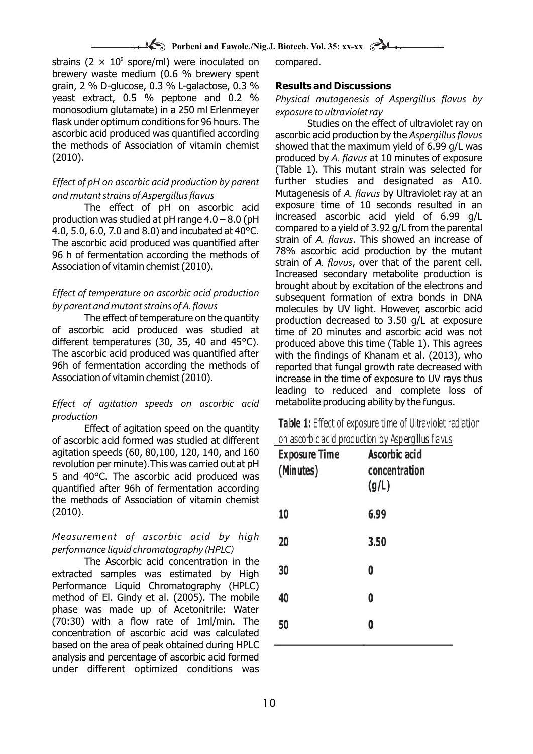strains (2  $\times$  10<sup>9</sup> spore/ml) were inoculated on compared. brewery waste medium (0.6 % brewery spent grain, 2 % D-glucose, 0.3 % L-galactose, 0.3 % **Results and Discussions** yeast extract, 0.5 % peptone and 0.2 % *Physical mutagenesis of Aspergillus flavus by*  monosodium glutamate) in a 250 ml Erlenmeyer exposure to ultraviolet ray<br>
flask under optimum conditions for 96 hours. The Studies on the effect of ultraviolet ray on flask under optimum conditions for 96 hours. The ascorbic acid produced was quantified according ascorbic acid produced was quantified according ascorbic acid production by the *Aspergillus flavus* (2010). produced by *A. flavus* at 10 minutes of exposure

The effect of pH on ascorbic acid production was studied at pH range  $4.0 - 8.0$  (pH increased ascorbic acid yield of 6.99 g/L<br>4.0.5.0.6.0.7.0 and 8.0) and incubated at 40°C compared to a yield of 3.92 g/L from the parental 4.0, 5.0, 6.0, 7.0 and 8.0) and incubated at 40°C. Compared to a yield of 3.92 g/L from the parental 4.0, 5.0, 6.0, 7.0 and 8.0) and incubated at 40°C. Compared to a yield of 3.92 g/L from the parental The associate of The ascorbic acid produced was quantified after strain of *A. flavus*. This showed an increase of The ascorbic acid production by the mutant 96 h of fermentation according the methods of 98% ascorbic acid production by the mutant 96 h of fermentation according the methods of 98% strain of A. flavus, over that of the parent cell.

The effect of temperature on the quantity broduction decreased to 3.50 g/L at exposure<br>of ascorbic acid produced was studied at time of 20 minutes and ascorbic acid was not of ascorbic acid produced was studied at time of 20 minutes and ascorbic acid was not<br>different temperatures (30, 35, 40 and 45°C). produced above this time (Table 1). This agrees different temperatures (30, 35, 40 and 45°C). produced above this time (Table 1). This agrees<br>The ascorbic acid produced was quantified after with the findings of Khanam et al. (2013), who The ascorbic acid produced was quantified after with the findings of Khanam et al. (2013), who<br>96h of fermentation according the methods of reported that fungal growth rate decreased with 96h of fermentation according the methods of reported that fungal growth rate decreased with<br>Association of vitamin chemist (2010).

## *Effect of agitation speeds on ascorbic acid* metabolite producing ability by the fungus. *production*

Effect of agitation speed on the quantity of ascorbic acid formed was studied at different agitation speeds (60, 80,100, 120, 140, and 160 revolution per minute).This was carried out at pH 5 and 40°C. The ascorbic acid produced was quantified after 96h of fermentation according the methods of Association of vitamin chemist (2010).

## *Measurement of ascorbic acid by high performance liquid chromatography (HPLC)*

The Ascorbic acid concentration in the extracted samples was estimated by High Performance Liquid Chromatography (HPLC) method of El. Gindy et al. (2005). The mobile phase was made up of Acetonitrile: Water (70:30) with a flow rate of 1ml/min. The concentration of ascorbic acid was calculated based on the area of peak obtained during HPLC analysis and percentage of ascorbic acid formed under different optimized conditions was

showed that the maximum yield of 6.99 g/L was (Table 1). This mutant strain was selected for *Effect of pH on ascorbic acid production by parent* further studies and designated as A10. and mutant strains of Aspergillus flavus<br>The effect of pH on ascorbic acid exposure time of 10 seconds resulted in an strain of *A. flavus*, over that of the parent cell. Association of vitamin chemist (2010). Increased secondary metabolite production is brought about by excitation of the electrons and *Effect of temperature on ascorbic acid production* subsequent formation of extra bonds in DNA *by parent and mutant strains of A. flavus* molecules by UV light. However, ascorbic acid increase in the time of exposure to UV rays thus leading to reduced and complete loss of

> Table 1: Effect of exposure time of Ultraviolet radiation  $\mathbf{D}$  and  $\mathbf{D}$  and  $\mathbf{D}$  and  $\mathbf{D}$  and  $\mathbf{D}$ and the

|  |  |  | on ascorbic acid production by Aspergillus flavus |
|--|--|--|---------------------------------------------------|
|--|--|--|---------------------------------------------------|

| <b>Exposure Time</b><br>(Minutes) | Ascorbic acid<br>concentration<br>(g/L) |
|-----------------------------------|-----------------------------------------|
| 10                                | 6.99                                    |
| 20                                | 3.50                                    |
| 30                                | 0                                       |
| 40                                | 0                                       |
| 50                                | 0                                       |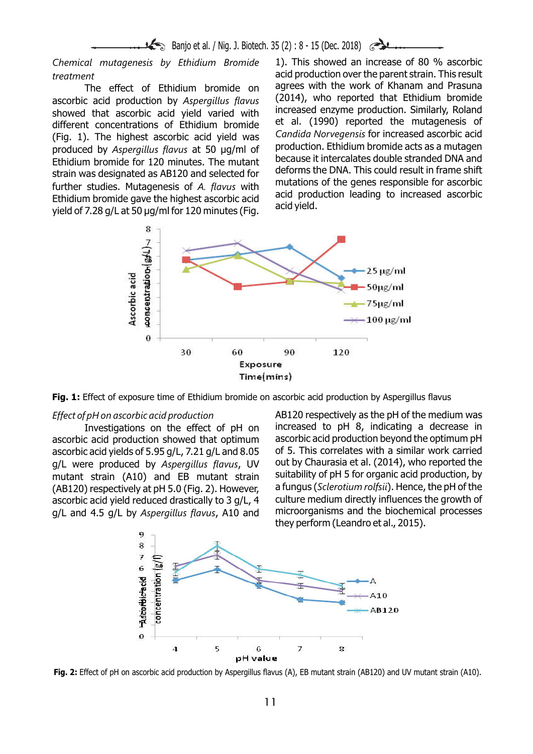**Banjo et al.** / Nig. J. Biotech. 35 (2) : 8 - 15 (Dec. 2018)

acid production over the parent strain. This result *treatment*

(2014), who reported that Ethidium bromide ascorbic acid production by *Aspergillus flavus* showed that ascorbic acid yield varied with increased enzyme production. Similarly, Roland<br>different concentrations of Ethidium bromide et al. (1990) reported the mutagenesis of different concentrations of Ethidium bromide et al. (1990) reported the mutagenesis of<br>(Fig. 1) The highest ascorbic acid vield was Candida Norvegensis for increased ascorbic acid *Candida Norvegensis* for increased ascorbic acid (Fig. 1). The highest ascorbic acid yield was produced by *Aspergillus flavus* at 50 µg/ml of production. Ethidium bromide acts as a mutagen<br>Ethidium bromide for 120 minutes. The mutant because it intercalates double stranded DNA and Ethidium bromide for 120 minutes. The mutant because it intercalates double stranded DNA and Ethidium bromide for 120 ppd colocted for deforms the DNA. This could result in frame shift deforms the DNA. This could result in frame shift<br>further studies. Mutagenesia of A flaws with mutations of the genes responsible for ascorbic further studies. Mutagenesis of A. flavus with mutations of the genes responsible for ascorbic<br>Ethidium bromide gave the highest ascorbic acid acid production leading to increased ascorbic<br>yield of 7.28 g/L at 50  $\mu$ g/ml

*Chemical mutagenesis by Ethidium Bromide* 1). This showed an increase of 80 % ascorbic The effect of Ethidium bromide on agrees with the work of Khanam and Prasuna<br>Casid production by Asparaillys flavys (2014), who reported that Ethidium bromide



**Fig. 1:** Effect of exposure time of Ethidium bromide on ascorbic acid production by Aspergillus flavus

ascorbic acid yields of 5.95 g/L, 7.21 g/L and 8.05 g/L and 4.5 g/L by *Aspergillus flavus*, A10 and

*Effect of pH on ascorbic acid production* AB120 respectively as the pH of the medium was Investigations on the effect of pH on increased to pH 8, indicating a decrease in<br>c acid production showed that ontimum ascorbic acid production bevond the optimum pH ascorbic acid production showed that optimum ascorbic acid production beyond the optimum pH<br>ascorbic acid vields of 5.95  $\alpha$ /L, 7.21  $\alpha$ /L and 8.05 of 5. This correlates with a similar work carried g/L were produced by *Aspergillus flavus*, UV out by Chaurasia et al. (2014), who reported the mutant strain (410) and FB mutant strain suitability of pH 5 for organic acid production, by mutant strain (A10) and EB mutant strain suitability of pH 5 for organic acid production, by<br>(AB120) respectively at pH 5 0 (Fig. 2) However a fungus (*Sclerotium rolfsii*). Hence, the pH of the (AB120) respectively at pH 5.0 (Fig. 2). However, a fungus (*Sclerotium rolfsii*). Hence, the pH of the ascorbic acid vield reduced drastically to 3 g/L. 4 culture medium directly influences the growth of ascorbic acid yield reduced drastically to 3 g/L, 4 culture medium directly influences the growth of  $a/l$  and  $A$  5  $a/l$  by Asperaillus flavus. A10 and microorganisms and the biochemical processes they perform (Leandro et al., 2015).



**Fig. 2:** Effect of pH on ascorbic acid production by Aspergillus flavus (A), EB mutant strain (AB120) and UV mutant strain (A10).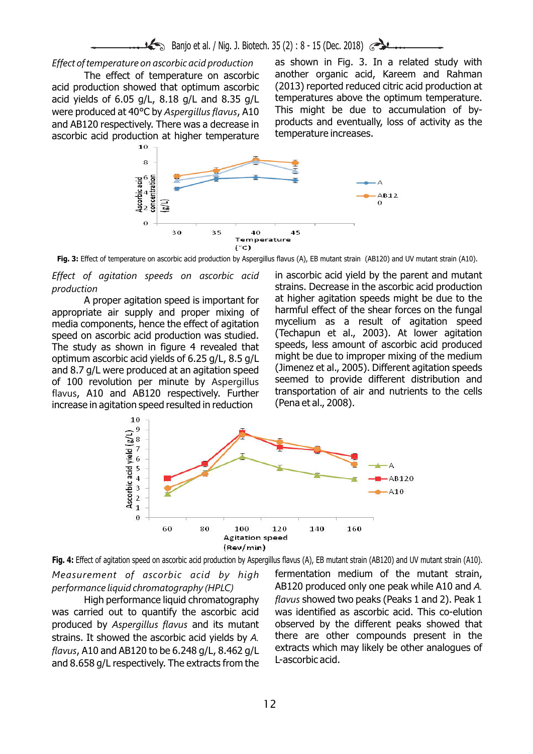**Banjo et al.** / Nig. J. Biotech. 35 (2) : 8 - 15 (Dec. 2018)

acid production showed that optimum ascorbic  $(2013)$  reported reduced citric acid production at acid vields of 6.05 g/L, 8.18 g/L and 8.35 g/L temperatures above the optimum temperature. acid yields of 6.05 g/L, 8.18 g/L and 8.35 g/L temperatures above the optimum temperature.<br>Were produced at 40°C by Asperaillus flavus, A10 This might, be, due, to accumulation, of bywere produced at 40°C by *Aspergillus flavus*, A10 This might be due to accumulation of by-<br>and AB120 respectively There was a decrease in products and eventually, loss of activity as the and AB120 respectively. There was a decrease in products and eventuall<br>ascorbic acid production at bigher temperature temperature increases. ascorbic acid production at higher temperature

*Effect of temperature on ascorbic acid production* as shown in Fig. 3. In a related study with The effect of temperature on ascorbic another organic acid, Kareem and Rahman<br>Soluction showed that ontimum ascorbic (2013) reported reduced citric acid production at



**Fig. 3:** Effect of temperature on ascorbic acid production by Aspergillus flavus (A), EB mutant strain (AB120) and UV mutant strain (A10).

appropriate air supply and proper mixing of harmful effect of the shear forces on the fungal<br>media.components, hence the effect of agitation s mycelium as a result of agitation speed media components, hence the effect of agitation and mycelium as a result of agitation speed<br>speed on ascorbic acid production was studied (Techapun et al., 2003). At lower agitation speed on ascorbic acid production was studied. (Techapun et al., 2003). At lower agitation<br>The study as shown in figure 4 revealed that speeds, less amount of ascorbic acid produced The study as shown in figure 4 revealed that speeds, less amount of ascorbic acid produced<br>ontimum ascorbic acid vields of 6.25.0/L, 8.5.0/L, might be due to improper mixing of the medium optimum ascorbic acid yields of 6.25 g/L, 8.5 g/L might be due to improper mixing of the medium<br>and 8.7 g/L were produced at an agitation speed (Jimenez et al., 2005). Different agitation speeds and 8.7 g/L were produced at an agitation speed (Jimenez et al., 2005). Different agitation speeds<br>of 100 revolution, per minute by Aspergillus seemed to provide different distribution and of 100 revolution per minute by Aspergillus seemed to provide different distribution and<br>flavus A10 and AB120 respectively Further transportation of air and nutrients to the cells flavus, A10 and AB120 respectively. Further transportation of a<br>increase in agitation speed resulted in reduction (Pena et al., 2008). increase in agitation speed resulted in reduction

*Effect of agitation speeds on ascorbic acid* in ascorbic acid yield by the parent and mutant *production* strains. Decrease in the ascorbic acid production A proper agitation speed is important for at higher agitation speeds might be due to the riate air supply and proper mixing of harmful effect of the shear forces on the fungal



*Measurement of ascorbic acid by high* fermentation medium of the mutant strain, *performance liquid chromatography (HPLC)* AB120 produced only one peak while A10 and *A.*  **Fig. 4:** Effect of agitation speed on ascorbic acid production by Aspergillus flavus (A), EB mutant strain (AB120) and UV mutant strain (A10).

flavus, A10 and AB120 to be 6.248 g/L, 8.462 g/L extracts which<br>and 8.658 g/L respectively. The oxtracts from the L-ascorbic acid. and 8.658 g/L respectively. The extracts from the

High performance liquid chromatography *flavus* showed two peaks (Peaks 1 and 2). Peak 1 was carried out to quantify the ascorbic acid was identified as ascorbic acid. This co-elution produced by *Aspergillus flavus* and its mutant observed by the different peaks showed that strains. It showed the ascorbic acid yields by *A*. there are other compounds present in the flavus A10 and AB120 to be 6.248 a/l. 8.462 a/l. extracts which may likely be other analogues of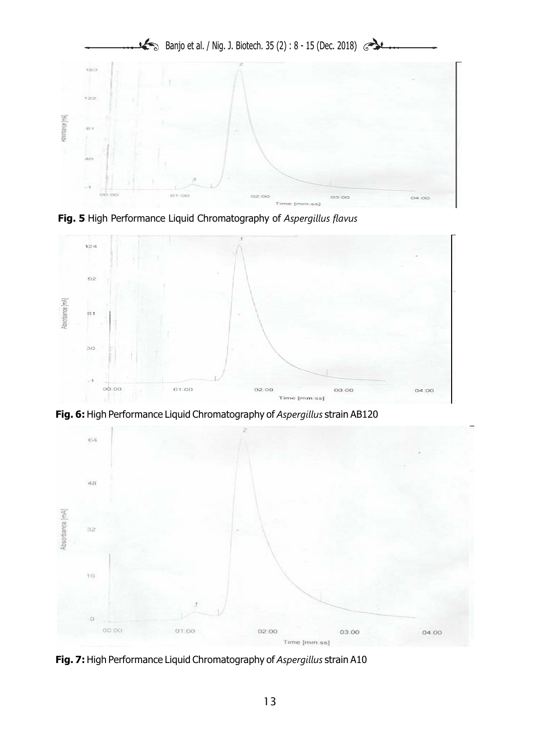





**Fig. 6:** High Performance Liquid Chromatography of *Aspergillus* strain AB120



**Fig. 7:** High Performance Liquid Chromatography of *Aspergillus* strain A10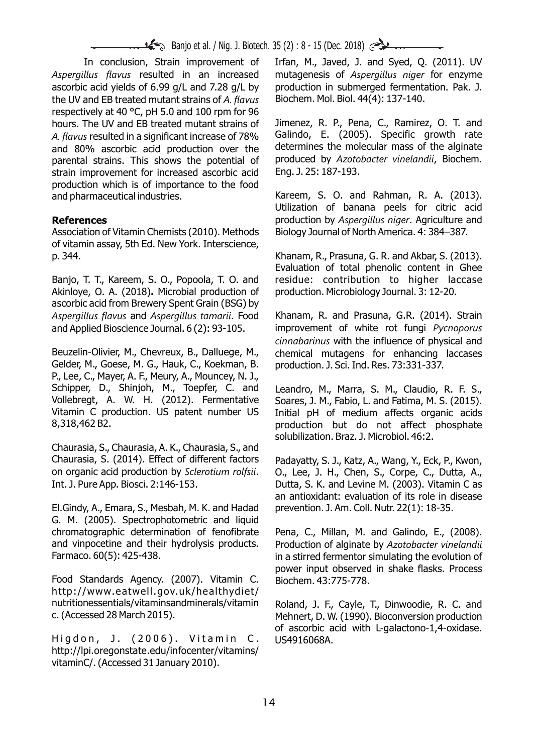**Banjo et al.** / Nig. J. Biotech. 35 (2) : 8 - 15 (Dec. 2018)

*Aspergillus flavus* resulted in an increased mutagenesis of *Aspergillus niger* for enzyme ascorbic acid yields of 6.99 g/L and 7.28 g/L by production in submerged fermentation. Pak. J. the UV and EB treated mutant strains of *A. flavus* Biochem. Mol. Biol. 44(4): 137-140. respectively at 40 °C, pH 5.0 and 100 rpm for 96 hours. The UV and EB treated mutant strains of Jimenez, R. P., Pena, C., Ramirez, O. T. and A flavus resulted in a significant increase of 78% Galindo, E. (2005). Specific growth rate A. *flavus* resulted in a significant increase of 78% Galindo, E. (2005). Specific growth rate<br>and 80% ascorbic acid production over the determines the molecular mass of the alginate and 80% ascorbic acid production over the determines the molecular mass of the alginate<br>parental strains. This shows the potential of produced by Azotobacter vinelandii, Biochem. parental strains. This shows the potential of produced by *Azoto* strain improvement for increased ascorbic acid Eng. J. 25: 187-193. strain improvement for increased ascorbic acid production which is of importance to the food and pharmaceutical industries. Kareem, S. O. and Rahman, R. A. (2013).

Association of Vitamin Chemists (2010). Methods Biology Journal of North America. 4: 384–387. of vitamin assay, 5th Ed. New York. Interscience, p. 344. Khanam, R., Prasuna, G. R. and Akbar, S. (2013).

Banjo, T. T., Kareem, S. O., Popoola, T. O. and residue: contribution to higher laccase Akinloye, O. A. (2018)**.** Microbial production of production. Microbiology Journal. 3: 12-20. ascorbic acid from Brewery Spent Grain (BSG) by *Aspergillus flavus* and *Aspergillus tamarii*. Food Khanam, R. and Prasuna, G.R. (2014). Strain and Applied Bioscience Journal. 6 (2): 93-105. improvement of white rot fungi *Pycnoporus* 

Beuzelin-Olivier, M., Chevreux, B., Dalluege, M., chemical mutagens for enhancing laccases Gelder, M., Goese, M. G., Hauk, C., Koekman, B. production. J. Sci. Ind. Res. 73:331-337. P., Lee, C., Mayer, A. F., Meury, A., Mouncey, N. J., Schipper, D., Shinjoh, M., Toepfer, C. and Leandro, M., Marra, S. M., Claudio, R. F. S., Vollebregt, A. W. H. (2012). Fermentative Soares, J. M., Fabio. L. and Fatima, M. S. (2015). Vollebregt, A. W. H. (2012). Fermentative Soares, J. M., Fabio, L. and Fatima, M. S. (2015). Vitamin C production. US patent number US Initial pH of medium affects organic acids

Chaurasia, S., Chaurasia, A. K., Chaurasia, S., and Chaurasia, S. (2014). Effect of different factors Padayatty, S. J., Katz, A., Wang, Y., Eck, P., Kwon, on organic acid production by *Sclerotium rolfsii*. O., Lee, J. H., Chen, S., Corpe, C., Dutta, A., Int. J. Pure App. Biosci. 2:146-153. Dutta, S. K. and Levine M. (2003). Vitamin C as

El.Gindy, A., Emara, S., Mesbah, M. K. and Hadad prevention. J. Am. Coll. Nutr. 22(1): 18-35. G. M. (2005). Spectrophotometric and liquid chromatographic determination of fenofibrate Pena, C., Millan, M. and Galindo, E., (2008). and vinpocetine and their hydrolysis products. Production of alginate by *Azotobacter vinelandii*

Food Standards Agency. (2007). Vitamin C. Biochem. 43:775-778. http://www.eatwell.gov.uk/healthydiet/ nutritionessentials/vitaminsandminerals/vitamin Roland, J. F., Cayle, T., Dinwoodie, R. C. and<br>C. (Accessed 28 March 2015). M. Mehnert, D. W. (1990). Bioconversion production

Higdon, J. (2006). Vitamin C. US4916068A. http://lpi.oregonstate.edu/infocenter/vitamins/ vitaminC/. (Accessed 31 January 2010).

In conclusion, Strain improvement of Irfan, M., Javed, J. and Syed, Q. (2011). UV

Utilization of banana peels for citric acid **References References production by** *Aspergillus niger***. Agriculture and** 

Evaluation of total phenolic content in Ghee

*cinnabarinus* with the influence of physical and

production but do not affect phosphate solubilization. Braz. J. Microbiol. 46:2.

an antioxidant: evaluation of its role in disease

Farmaco. 60(5): 425-438. Farmaco. 60(5): 425-438. power input observed in shake flasks. Process

> Mehnert, D. W. (1990). Bioconversion production of ascorbic acid with L-galactono-1,4-oxidase.